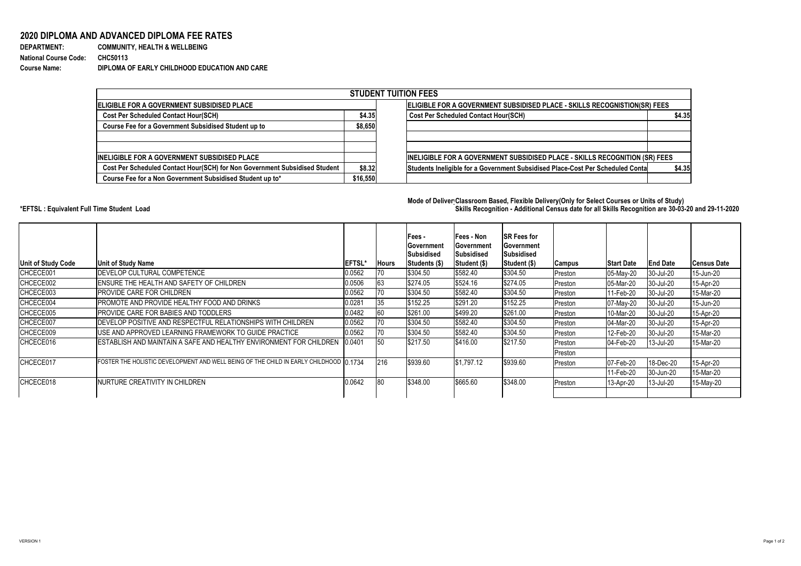VERSION 1 Page 1 of 2

| <b>DEPARTMENT:</b>           | <b>COMMUNITY, HEALTH &amp; WELLBEING</b>      |
|------------------------------|-----------------------------------------------|
| <b>National Course Code:</b> | <b>CHC50113</b>                               |
| <b>Course Name:</b>          | DIPLOMA OF EARLY CHILDHOOD EDUCATION AND CARE |

## **2020 DIPLOMA AND ADVANCED DIPLOMA FEE RATES**

| <b>DEPARTMENT:</b>           | <b>COMMUNITY, HEALTH</b>   |
|------------------------------|----------------------------|
| <b>National Course Code:</b> | <b>CHC50113</b>            |
| <b>Course Name:</b>          | <b>DIPLOMA OF EARLY CI</b> |

## **Mode of DeliveryClassroom Based, Flexible Delivery(Only for Select Courses or Units of Study) \*EFTSL : Equivalent Full Time Student Load Skills Recognition - Additional Census date for all Skills Recognition are 30-03-20 and 29-11-2020**



|                                                                            |          | <b>STUDENT TUITION FEES</b>                                                              |
|----------------------------------------------------------------------------|----------|------------------------------------------------------------------------------------------|
| <b>ELIGIBLE FOR A GOVERNMENT SUBSIDISED PLACE</b>                          |          | ELIGIBLE FOR A GOVERNMENT SUBSIDISED PLACE - SKILLS RECOGNISTION(SR) FEES                |
| <b>Cost Per Scheduled Contact Hour(SCH)</b>                                |          | <b>Cost Per Scheduled Contact Hour(SCH)</b><br>\$4.35                                    |
| <b>Course Fee for a Government Subsidised Student up to</b>                | \$8,650  |                                                                                          |
|                                                                            |          |                                                                                          |
| <b>INELIGIBLE FOR A GOVERNMENT SUBSIDISED PLACE</b>                        |          | INELIGIBLE FOR A GOVERNMENT SUBSIDISED PLACE - SKILLS RECOGNITION (SR) FEES              |
| Cost Per Scheduled Contact Hour(SCH) for Non Government Subsidised Student | \$8.32   | \$4.35<br>Students Ineligible for a Government Subsidised Place-Cost Per Scheduled Conta |
| Course Fee for a Non Government Subsidised Student up to*                  | \$16,550 |                                                                                          |

| <b>Unit of Study Code</b> | <b>Unit of Study Name</b>                                                              | <b>EFTSL'</b> | <b>Hours</b> | <b>Fees -</b><br><b>Government</b><br><b>Subsidised</b><br>Students (\$) | <b> Fees - Non</b><br> Government<br> Subsidised<br><b>Student (\$)</b> | <b>SR Fees for</b><br><b> Government</b><br><b>Subsidised</b><br>Student (\$) | <b>Campus</b> | <b>Start Date</b> | <b>End Date</b> | <b>Census Date</b> |
|---------------------------|----------------------------------------------------------------------------------------|---------------|--------------|--------------------------------------------------------------------------|-------------------------------------------------------------------------|-------------------------------------------------------------------------------|---------------|-------------------|-----------------|--------------------|
| CHCECE001                 | <b>DEVELOP CULTURAL COMPETENCE</b>                                                     | 0.0562        | 70           | \$304.50                                                                 | \$582.40                                                                | \$304.50                                                                      | Preston       | 05-May-20         | $ 30 -$ Jul-20  | 15-Jun-20          |
| CHCECE002                 | ENSURE THE HEALTH AND SAFETY OF CHILDREN                                               | 0.0506        | 63           | \$274.05                                                                 | \$524.16                                                                | \$274.05                                                                      | Preston       | 05-Mar-20         | 30-Jul-20       | 15-Apr-20          |
| CHCECE003                 | PROVIDE CARE FOR CHILDREN                                                              | 0.0562        | 70           | \$304.50                                                                 | \$582.40                                                                | \$304.50                                                                      | Preston       | 11-Feb-20         | 30-Jul-20       | 15-Mar-20          |
| CHCECE004                 | PROMOTE AND PROVIDE HEALTHY FOOD AND DRINKS                                            | 0.0281        | 35           | $\frac{1}{1}$ \$152.25                                                   | \$291.20                                                                | \$152.25                                                                      | Preston       | 07-May-20         | 30-Jul-20       | 15-Jun-20          |
| CHCECE005                 | PROVIDE CARE FOR BABIES AND TODDLERS                                                   | 0.0482        | 60           | \$261.00                                                                 | \$499.20                                                                | \$261.00                                                                      | Preston       | 10-Mar-20         | 30-Jul-20       | 15-Apr-20          |
| CHCECE007                 | DEVELOP POSITIVE AND RESPECTFUL RELATIONSHIPS WITH CHILDREN                            | 0.0562        | 70           | \$304.50                                                                 | \$582.40                                                                | \$304.50                                                                      | Preston       | 04-Mar-20         | 30-Jul-20       | 15-Apr-20          |
| CHCECE009                 | USE AND APPROVED LEARNING FRAMEWORK TO GUIDE PRACTICE                                  | 0.0562        | 70           | \$304.50                                                                 | \$582.40                                                                | \$304.50                                                                      | Preston       | 12-Feb-20         | 30-Jul-20       | 15-Mar-20          |
| CHCECE016                 | ESTABLISH AND MAINTAIN A SAFE AND HEALTHY ENVIRONMENT FOR CHILDREN                     | 0.0401        | 50           | \$217.50                                                                 | \$416.00                                                                | \$217.50                                                                      | Preston       | 04-Feb-20         | $ 13 -$ Jul-20  | 15-Mar-20          |
|                           |                                                                                        |               |              |                                                                          |                                                                         |                                                                               | Preston       |                   |                 |                    |
| ICHCECE017                | FOSTER THE HOLISTIC DEVELOPMENT AND WELL BEING OF THE CHILD IN EARLY CHILDHOOD 10.1734 |               | 216          | \$939.60                                                                 | \$1,797.12                                                              | \$939.60                                                                      | Preston       | 07-Feb-20         | 18-Dec-20       | 15-Apr-20          |
|                           |                                                                                        |               |              |                                                                          |                                                                         |                                                                               |               | 11-Feb-20         | 30-Jun-20       | 15-Mar-20          |
| CHCECE018                 | INURTURE CREATIVITY IN CHILDREN                                                        | 0.0642        | 80           | \$348.00                                                                 | \$665.60                                                                | \$348.00                                                                      | Preston       | 13-Apr-20         | 13-Jul-20       | 15-May-20          |